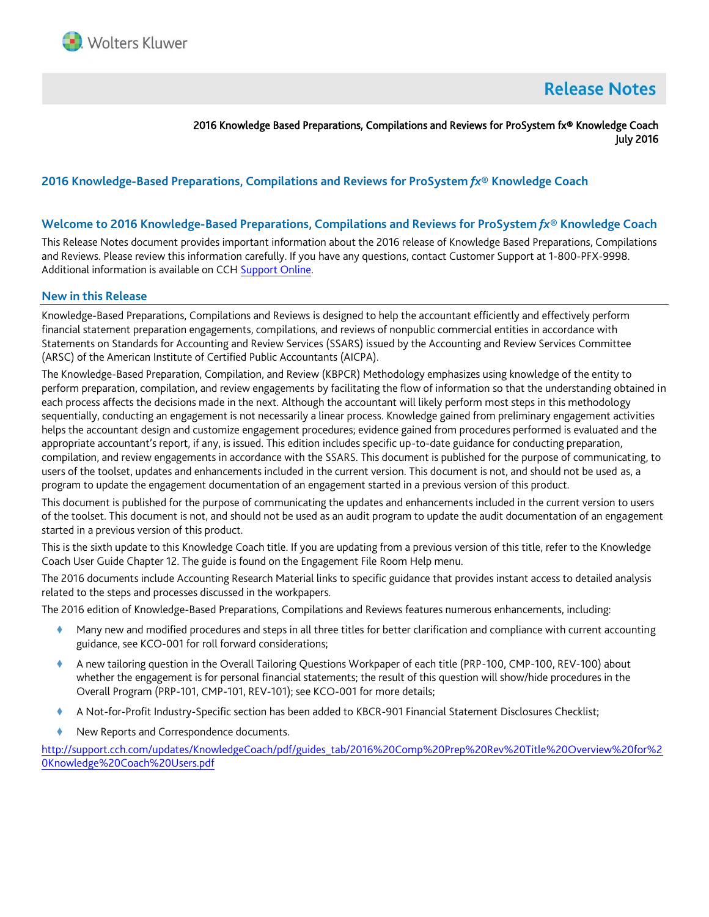

# **Release Notes**

2016 Knowledge Based Preparations, Compilations and Reviews for ProSystem fx® Knowledge Coach July 2016

## **2016 Knowledge-Based Preparations, Compilations and Reviews for ProSystem** *fx***® Knowledge Coach**

#### **Welcome to 2016 Knowledge-Based Preparations, Compilations and Reviews for ProSystem** *fx***® Knowledge Coach**

This Release Notes document provides important information about the 2016 release of Knowledge Based Preparations, Compilations and Reviews. Please review this information carefully. If you have any questions, contact Customer Support at 1-800-PFX-9998. Additional information is available on CCH [Support Online.](http://support.cch.com/productsupport/)

#### **New in this Release**

Knowledge-Based Preparations, Compilations and Reviews is designed to help the accountant efficiently and effectively perform financial statement preparation engagements, compilations, and reviews of nonpublic commercial entities in accordance with Statements on Standards for Accounting and Review Services (SSARS) issued by the Accounting and Review Services Committee (ARSC) of the American Institute of Certified Public Accountants (AICPA).

The Knowledge-Based Preparation, Compilation, and Review (KBPCR) Methodology emphasizes using knowledge of the entity to perform preparation, compilation, and review engagements by facilitating the flow of information so that the understanding obtained in each process affects the decisions made in the next. Although the accountant will likely perform most steps in this methodology sequentially, conducting an engagement is not necessarily a linear process. Knowledge gained from preliminary engagement activities helps the accountant design and customize engagement procedures; evidence gained from procedures performed is evaluated and the appropriate accountant's report, if any, is issued. This edition includes specific up-to-date guidance for conducting preparation, compilation, and review engagements in accordance with the SSARS. This document is published for the purpose of communicating, to users of the toolset, updates and enhancements included in the current version. This document is not, and should not be used as, a program to update the engagement documentation of an engagement started in a previous version of this product.

This document is published for the purpose of communicating the updates and enhancements included in the current version to users of the toolset. This document is not, and should not be used as an audit program to update the audit documentation of an engagement started in a previous version of this product.

This is the sixth update to this Knowledge Coach title. If you are updating from a previous version of this title, refer to the Knowledge Coach User Guide Chapter 12. The guide is found on the Engagement File Room Help menu.

The 2016 documents include Accounting Research Material links to specific guidance that provides instant access to detailed analysis related to the steps and processes discussed in the workpapers.

The 2016 edition of Knowledge-Based Preparations, Compilations and Reviews features numerous enhancements, including:

- Many new and modified procedures and steps in all three titles for better clarification and compliance with current accounting guidance, see KCO-001 for roll forward considerations;
- A new tailoring question in the Overall Tailoring Questions Workpaper of each title (PRP-100, CMP-100, REV-100) about whether the engagement is for personal financial statements; the result of this question will show/hide procedures in the Overall Program (PRP-101, CMP-101, REV-101); see KCO-001 for more details;
- A Not-for-Profit Industry-Specific section has been added to KBCR-901 Financial Statement Disclosures Checklist;
- New Reports and Correspondence documents.

[http://support.cch.com/updates/KnowledgeCoach/pdf/guides\\_tab/2016%20Comp%20Prep%20Rev%20Title%20Overview%20for%2](http://support.cch.com/updates/KnowledgeCoach/pdf/guides_tab/2016%20Comp%20Prep%20Rev%20Title%20Overview%20for%20Knowledge%20Coach%20Users.pdf) [0Knowledge%20Coach%20Users.pdf](http://support.cch.com/updates/KnowledgeCoach/pdf/guides_tab/2016%20Comp%20Prep%20Rev%20Title%20Overview%20for%20Knowledge%20Coach%20Users.pdf)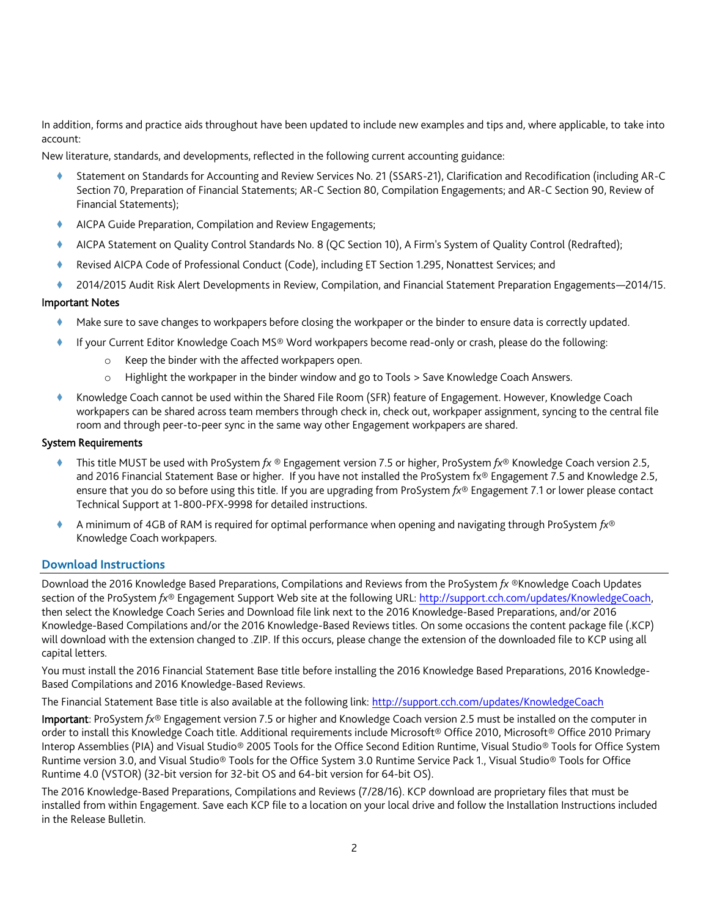In addition, forms and practice aids throughout have been updated to include new examples and tips and, where applicable, to take into account:

New literature, standards, and developments, reflected in the following current accounting guidance:

- Statement on Standards for Accounting and Review Services No. 21 (SSARS-21), Clarification and Recodification (including AR-C Section 70, Preparation of Financial Statements; AR-C Section 80, Compilation Engagements; and AR-C Section 90, Review of Financial Statements);
- AICPA Guide Preparation, Compilation and Review Engagements;
- AICPA Statement on Quality Control Standards No. 8 (QC Section 10), A Firm's System of Quality Control (Redrafted);
- Revised AICPA Code of Professional Conduct (Code), including ET Section 1.295, Nonattest Services; and
- 2014/2015 Audit Risk Alert Developments in Review, Compilation, and Financial Statement Preparation Engagements—2014/15.

## Important Notes

- Make sure to save changes to workpapers before closing the workpaper or the binder to ensure data is correctly updated.
- If your Current Editor Knowledge Coach MS® Word workpapers become read-only or crash, please do the following:
	- o Keep the binder with the affected workpapers open.
	- o Highlight the workpaper in the binder window and go to Tools > Save Knowledge Coach Answers.
- Knowledge Coach cannot be used within the Shared File Room (SFR) feature of Engagement. However, Knowledge Coach workpapers can be shared across team members through check in, check out, workpaper assignment, syncing to the central file room and through peer-to-peer sync in the same way other Engagement workpapers are shared.

#### System Requirements

- This title MUST be used with ProSystem *fx* ® Engagement version 7.5 or higher, ProSystem *fx*® Knowledge Coach version 2.5, and 2016 Financial Statement Base or higher. If you have not installed the ProSystem fx® Engagement 7.5 and Knowledge 2.5, ensure that you do so before using this title. If you are upgrading from ProSystem *fx*® Engagement 7.1 or lower please contact Technical Support at 1-800-PFX-9998 for detailed instructions.
- A minimum of 4GB of RAM is required for optimal performance when opening and navigating through ProSystem *fx*® Knowledge Coach workpapers.

## **Download Instructions**

Download the 2016 Knowledge Based Preparations, Compilations and Reviews from the ProSystem *fx* ®Knowledge Coach Updates section of the ProSystem *fx*® Engagement Support Web site at the following URL: [http://support.cch.com/updates/KnowledgeCoach,](http://support.cch.com/updates/KnowledgeCoach)  then select the Knowledge Coach Series and Download file link next to the 2016 Knowledge-Based Preparations, and/or 2016 Knowledge-Based Compilations and/or the 2016 Knowledge-Based Reviews titles. On some occasions the content package file (.KCP) will download with the extension changed to .ZIP. If this occurs, please change the extension of the downloaded file to KCP using all capital letters.

You must install the 2016 Financial Statement Base title before installing the 2016 Knowledge Based Preparations, 2016 Knowledge-Based Compilations and 2016 Knowledge-Based Reviews.

The Financial Statement Base title is also available at the following link:<http://support.cch.com/updates/KnowledgeCoach>

Important: ProSystem *fx*® Engagement version 7.5 or higher and Knowledge Coach version 2.5 must be installed on the computer in order to install this Knowledge Coach title. Additional requirements include Microsoft® Office 2010, Microsoft® Office 2010 Primary Interop Assemblies (PIA) and Visual Studio® 2005 Tools for the Office Second Edition Runtime, Visual Studio® Tools for Office System Runtime version 3.0, and Visual Studio® Tools for the Office System 3.0 Runtime Service Pack 1., Visual Studio® Tools for Office Runtime 4.0 (VSTOR) (32-bit version for 32-bit OS and 64-bit version for 64-bit OS).

The 2016 Knowledge-Based Preparations, Compilations and Reviews (7/28/16). KCP download are proprietary files that must be installed from within Engagement. Save each KCP file to a location on your local drive and follow the Installation Instructions included in the Release Bulletin.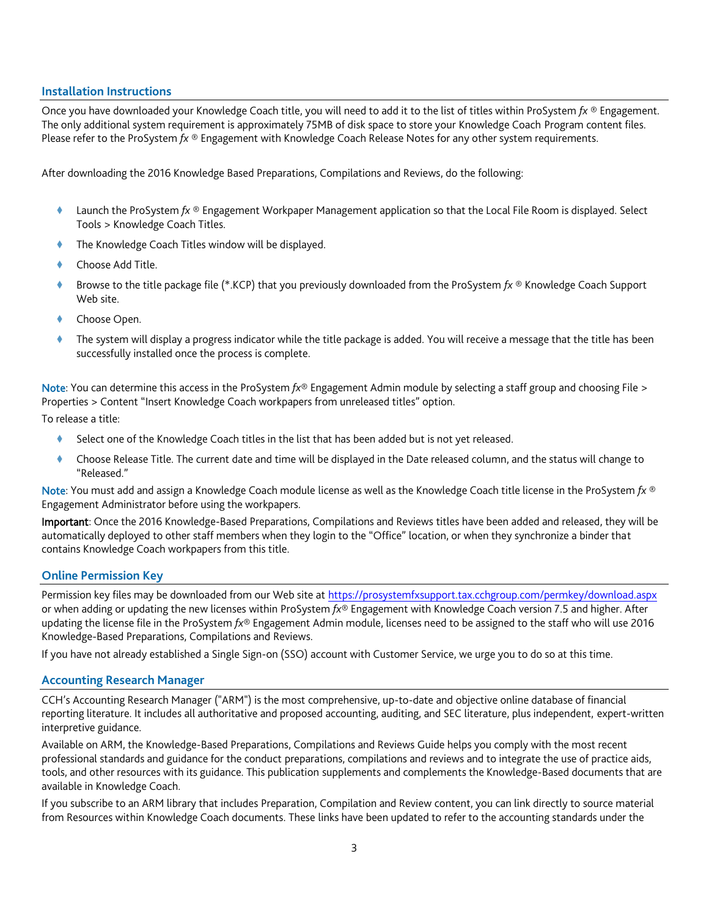#### **Installation Instructions**

Once you have downloaded your Knowledge Coach title, you will need to add it to the list of titles within ProSystem *fx* ® Engagement. The only additional system requirement is approximately 75MB of disk space to store your Knowledge Coach Program content files. Please refer to the ProSystem *fx* ® Engagement with Knowledge Coach Release Notes for any other system requirements.

After downloading the 2016 Knowledge Based Preparations, Compilations and Reviews, do the following:

- Launch the ProSystem *fx* ® Engagement Workpaper Management application so that the Local File Room is displayed. Select Tools > Knowledge Coach Titles.
- The Knowledge Coach Titles window will be displayed.
- Choose Add Title.
- Browse to the title package file (\*.KCP) that you previously downloaded from the ProSystem *fx* ® Knowledge Coach Support Web site.
- Choose Open.
- The system will display a progress indicator while the title package is added. You will receive a message that the title has been successfully installed once the process is complete.

Note: You can determine this access in the ProSystem *fx*® Engagement Admin module by selecting a staff group and choosing File > Properties > Content "Insert Knowledge Coach workpapers from unreleased titles" option.

To release a title:

- Select one of the Knowledge Coach titles in the list that has been added but is not yet released.
- Choose Release Title. The current date and time will be displayed in the Date released column, and the status will change to "Released."

Note: You must add and assign a Knowledge Coach module license as well as the Knowledge Coach title license in the ProSystem *fx* ® Engagement Administrator before using the workpapers.

Important: Once the 2016 Knowledge-Based Preparations, Compilations and Reviews titles have been added and released, they will be automatically deployed to other staff members when they login to the "Office" location, or when they synchronize a binder that contains Knowledge Coach workpapers from this title.

#### **Online Permission Key**

Permission key files may be downloaded from our Web site a[t https://prosystemfxsupport.tax.cchgroup.com/permkey/download.aspx](https://prosystemfxsupport.tax.cchgroup.com/permkey/download.aspx) or when adding or updating the new licenses within ProSystem *fx*® Engagement with Knowledge Coach version 7.5 and higher. After updating the license file in the ProSystem *fx*® Engagement Admin module, licenses need to be assigned to the staff who will use 2016 Knowledge-Based Preparations, Compilations and Reviews.

If you have not already established a Single Sign-on (SSO) account with Customer Service, we urge you to do so at this time.

#### **Accounting Research Manager**

CCH's Accounting Research Manager ("ARM") is the most comprehensive, up-to-date and objective online database of financial reporting literature. It includes all authoritative and proposed accounting, auditing, and SEC literature, plus independent, expert-written interpretive guidance.

Available on ARM, the Knowledge-Based Preparations, Compilations and Reviews Guide helps you comply with the most recent professional standards and guidance for the conduct preparations, compilations and reviews and to integrate the use of practice aids, tools, and other resources with its guidance. This publication supplements and complements the Knowledge-Based documents that are available in Knowledge Coach.

If you subscribe to an ARM library that includes Preparation, Compilation and Review content, you can link directly to source material from Resources within Knowledge Coach documents. These links have been updated to refer to the accounting standards under the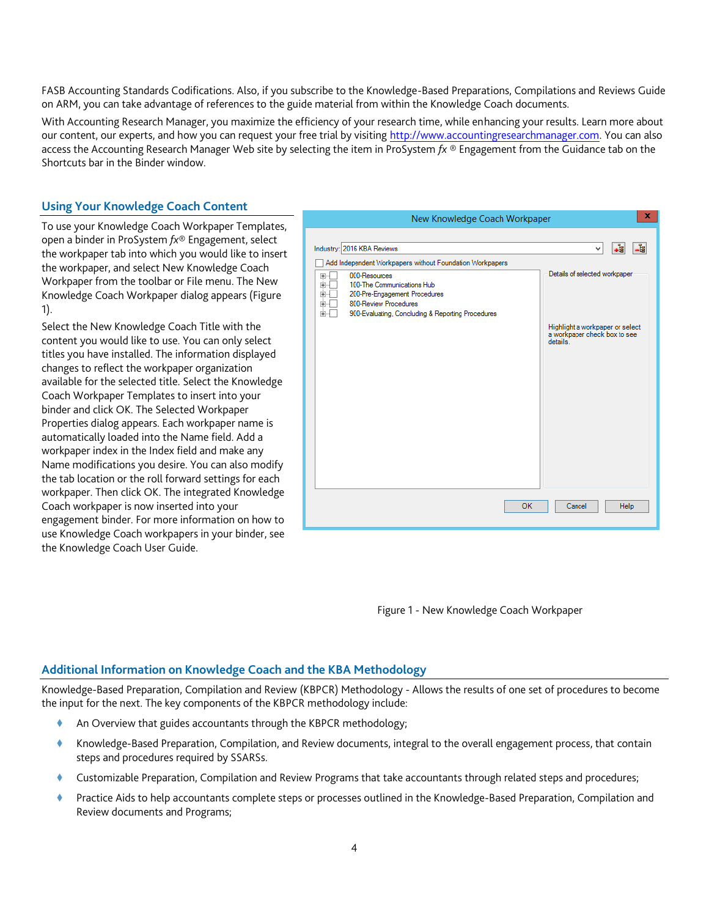FASB Accounting Standards Codifications. Also, if you subscribe to the Knowledge-Based Preparations, Compilations and Reviews Guide on ARM, you can take advantage of references to the guide material from within the Knowledge Coach documents.

With Accounting Research Manager, you maximize the efficiency of your research time, while enhancing your results. Learn more about our content, our experts, and how you can request your free trial by visiting [http://www.accountingresearchmanager.com.](http://www.accountingresearchmanager.com/) You can also access the Accounting Research Manager Web site by selecting the item in ProSystem *fx* ® Engagement from the Guidance tab on the Shortcuts bar in the Binder window.

## **Using Your Knowledge Coach Content**

To use your Knowledge Coach Workpaper Templates, open a binder in ProSystem *fx*® Engagement, select the workpaper tab into which you would like to insert the workpaper, and select New Knowledge Coach Workpaper from the toolbar or File menu. The New Knowledge Coach Workpaper dialog appears (Figure 1).

Select the New Knowledge Coach Title with the content you would like to use. You can only select titles you have installed. The information displayed changes to reflect the workpaper organization available for the selected title. Select the Knowledge Coach Workpaper Templates to insert into your binder and click OK. The Selected Workpaper Properties dialog appears. Each workpaper name is automatically loaded into the Name field. Add a workpaper index in the Index field and make any Name modifications you desire. You can also modify the tab location or the roll forward settings for each workpaper. Then click OK. The integrated Knowledge Coach workpaper is now inserted into your engagement binder. For more information on how to use Knowledge Coach workpapers in your binder, see the Knowledge Coach User Guide.



Figure 1 - New Knowledge Coach Workpaper

## **Additional Information on Knowledge Coach and the KBA Methodology**

Knowledge-Based Preparation, Compilation and Review (KBPCR) Methodology - Allows the results of one set of procedures to become the input for the next. The key components of the KBPCR methodology include:

- An Overview that guides accountants through the KBPCR methodology;
- Knowledge-Based Preparation, Compilation, and Review documents, integral to the overall engagement process, that contain steps and procedures required by SSARSs.
- Customizable Preparation, Compilation and Review Programs that take accountants through related steps and procedures;
- Practice Aids to help accountants complete steps or processes outlined in the Knowledge-Based Preparation, Compilation and Review documents and Programs;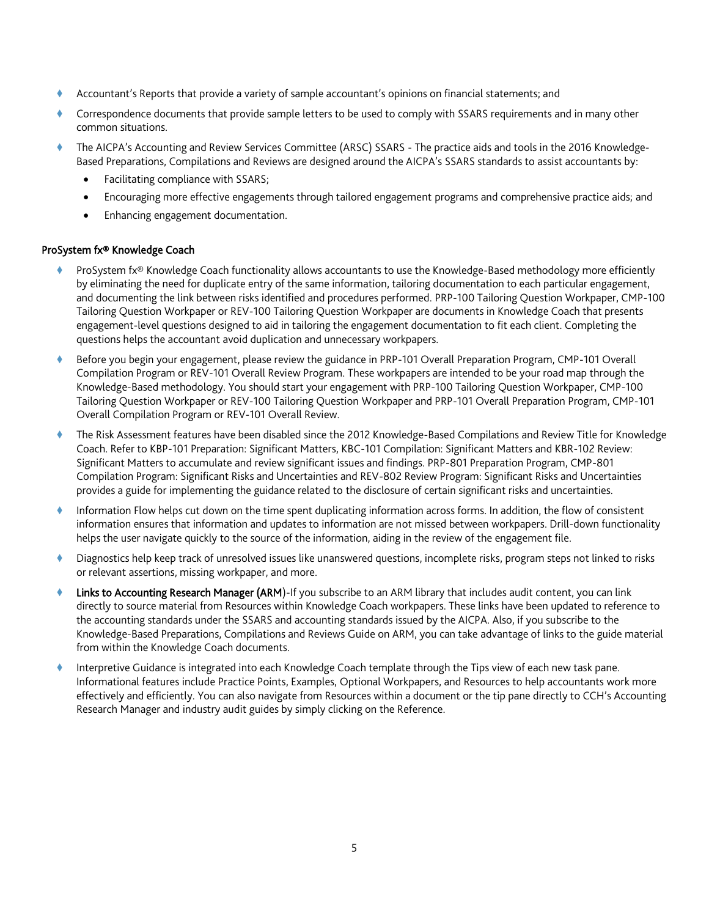- Accountant's Reports that provide a variety of sample accountant's opinions on financial statements; and
- Correspondence documents that provide sample letters to be used to comply with SSARS requirements and in many other common situations.
- The AICPA's Accounting and Review Services Committee (ARSC) SSARS The practice aids and tools in the 2016 Knowledge-Based Preparations, Compilations and Reviews are designed around the AICPA's SSARS standards to assist accountants by:
	- Facilitating compliance with SSARS;
	- Encouraging more effective engagements through tailored engagement programs and comprehensive practice aids; and
	- Enhancing engagement documentation.

## ProSystem fx® Knowledge Coach

- ProSystem fx® Knowledge Coach functionality allows accountants to use the Knowledge-Based methodology more efficiently by eliminating the need for duplicate entry of the same information, tailoring documentation to each particular engagement, and documenting the link between risks identified and procedures performed. PRP-100 Tailoring Question Workpaper, CMP-100 Tailoring Question Workpaper or REV-100 Tailoring Question Workpaper are documents in Knowledge Coach that presents engagement-level questions designed to aid in tailoring the engagement documentation to fit each client. Completing the questions helps the accountant avoid duplication and unnecessary workpapers.
- Before you begin your engagement, please review the guidance in PRP-101 Overall Preparation Program, CMP-101 Overall Compilation Program or REV-101 Overall Review Program. These workpapers are intended to be your road map through the Knowledge-Based methodology. You should start your engagement with PRP-100 Tailoring Question Workpaper, CMP-100 Tailoring Question Workpaper or REV-100 Tailoring Question Workpaper and PRP-101 Overall Preparation Program, CMP-101 Overall Compilation Program or REV-101 Overall Review.
- The Risk Assessment features have been disabled since the 2012 Knowledge-Based Compilations and Review Title for Knowledge Coach. Refer to KBP-101 Preparation: Significant Matters, KBC-101 Compilation: Significant Matters and KBR-102 Review: Significant Matters to accumulate and review significant issues and findings. PRP-801 Preparation Program, CMP-801 Compilation Program: Significant Risks and Uncertainties and REV-802 Review Program: Significant Risks and Uncertainties provides a guide for implementing the guidance related to the disclosure of certain significant risks and uncertainties.
- Information Flow helps cut down on the time spent duplicating information across forms. In addition, the flow of consistent information ensures that information and updates to information are not missed between workpapers. Drill-down functionality helps the user navigate quickly to the source of the information, aiding in the review of the engagement file.
- Diagnostics help keep track of unresolved issues like unanswered questions, incomplete risks, program steps not linked to risks or relevant assertions, missing workpaper, and more.
- Links to Accounting Research Manager (ARM)-If you subscribe to an ARM library that includes audit content, you can link directly to source material from Resources within Knowledge Coach workpapers. These links have been updated to reference to the accounting standards under the SSARS and accounting standards issued by the AICPA. Also, if you subscribe to the Knowledge-Based Preparations, Compilations and Reviews Guide on ARM, you can take advantage of links to the guide material from within the Knowledge Coach documents.
- Interpretive Guidance is integrated into each Knowledge Coach template through the Tips view of each new task pane. Informational features include Practice Points, Examples, Optional Workpapers, and Resources to help accountants work more effectively and efficiently. You can also navigate from Resources within a document or the tip pane directly to CCH's Accounting Research Manager and industry audit guides by simply clicking on the Reference.